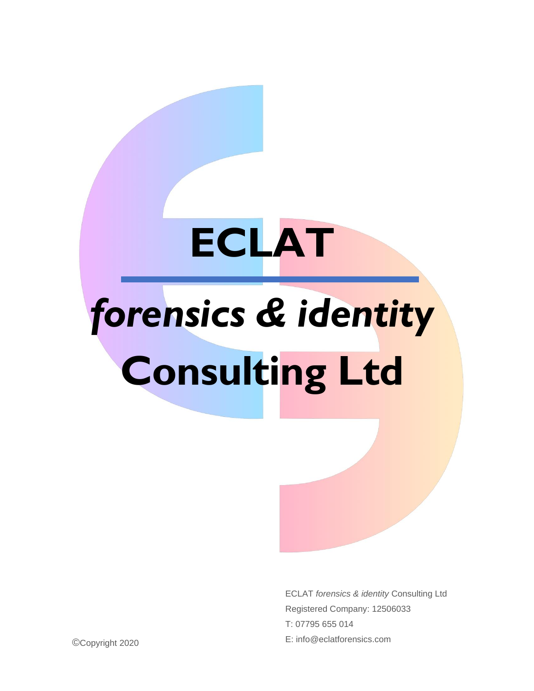## **ECLAT**

## *forensics & identity* **Consulting Ltd**

ECLAT *forensics & identity* Consulting Ltd Registered Company: 12506033 T: 07795 655 014 © E: info@eclatforensics.com Copyright 2020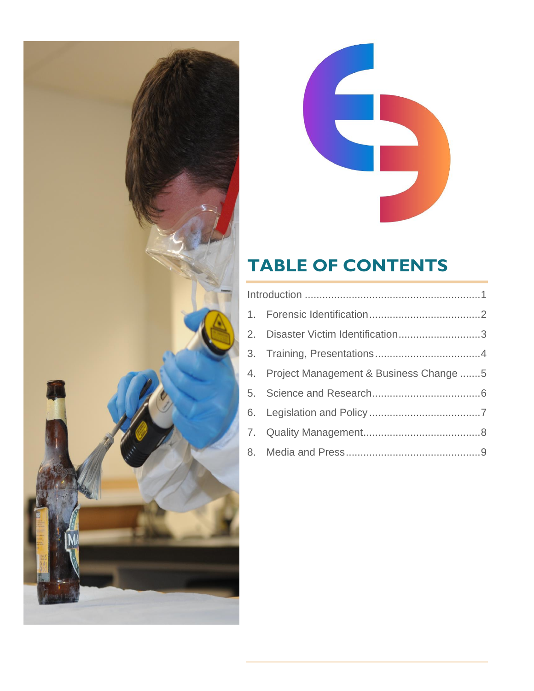



### **TABLE OF CONTENTS**

|  | 2. Disaster Victim Identification3        |  |
|--|-------------------------------------------|--|
|  |                                           |  |
|  | 4. Project Management & Business Change 5 |  |
|  |                                           |  |
|  |                                           |  |
|  |                                           |  |
|  |                                           |  |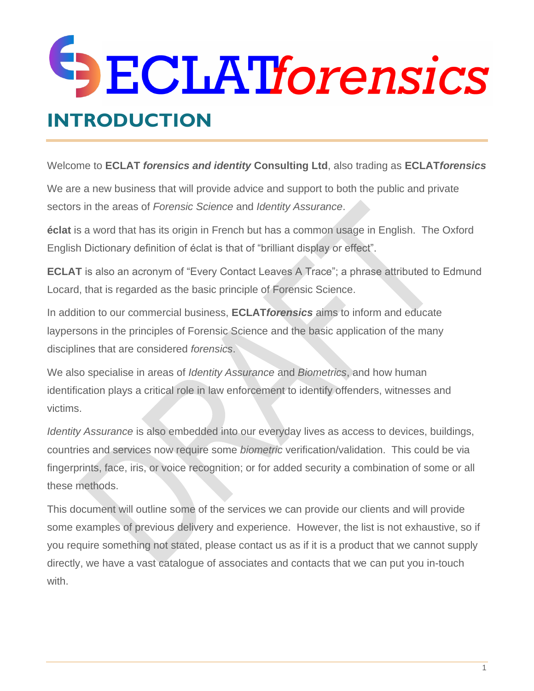### SECLATforensics **INTRODUCTION**

<span id="page-2-0"></span>Welcome to **ECLAT** *forensics and identity* **Consulting Ltd**, also trading as **ECLAT***forensics*

We are a new business that will provide advice and support to both the public and private sectors in the areas of *Forensic Science* and *Identity Assurance*.

**éclat** is a word that has its origin in French but has a common usage in English. The Oxford English Dictionary definition of éclat is that of "brilliant display or effect".

**ECLAT** is also an acronym of "Every Contact Leaves A Trace"; a phrase attributed to Edmund Locard, that is regarded as the basic principle of Forensic Science.

In addition to our commercial business, **ECLAT***forensics* aims to inform and educate laypersons in the principles of Forensic Science and the basic application of the many disciplines that are considered *forensics*.

We also specialise in areas of *Identity Assurance* and *Biometrics*, and how human identification plays a critical role in law enforcement to identify offenders, witnesses and victims.

*Identity Assurance* is also embedded into our everyday lives as access to devices, buildings, countries and services now require some *biometric* verification/validation. This could be via fingerprints, face, iris, or voice recognition; or for added security a combination of some or all these methods.

This document will outline some of the services we can provide our clients and will provide some examples of previous delivery and experience. However, the list is not exhaustive, so if you require something not stated, please contact us as if it is a product that we cannot supply directly, we have a vast catalogue of associates and contacts that we can put you in-touch with.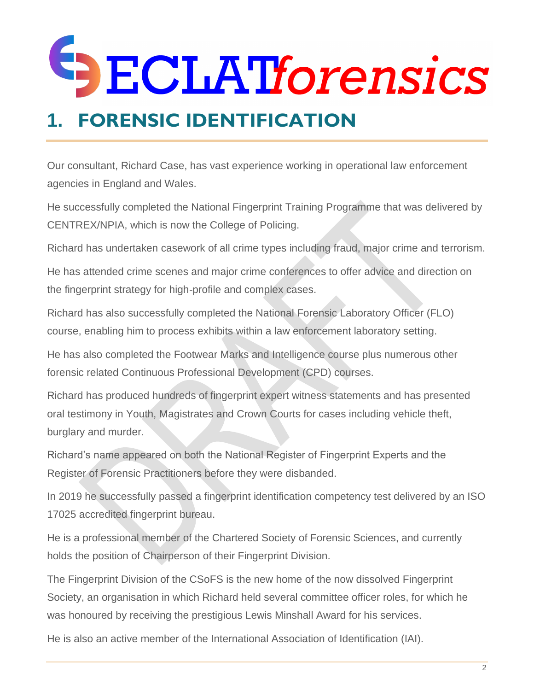### <span id="page-3-0"></span>**1. FORENSIC IDENTIFICATION**

Our consultant, Richard Case, has vast experience working in operational law enforcement agencies in England and Wales.

He successfully completed the National Fingerprint Training Programme that was delivered by CENTREX/NPIA, which is now the College of Policing.

Richard has undertaken casework of all crime types including fraud, major crime and terrorism.

He has attended crime scenes and major crime conferences to offer advice and direction on the fingerprint strategy for high-profile and complex cases.

Richard has also successfully completed the National Forensic Laboratory Officer (FLO) course, enabling him to process exhibits within a law enforcement laboratory setting.

He has also completed the Footwear Marks and Intelligence course plus numerous other forensic related Continuous Professional Development (CPD) courses.

Richard has produced hundreds of fingerprint expert witness statements and has presented oral testimony in Youth, Magistrates and Crown Courts for cases including vehicle theft, burglary and murder.

Richard's name appeared on both the National Register of Fingerprint Experts and the Register of Forensic Practitioners before they were disbanded.

In 2019 he successfully passed a fingerprint identification competency test delivered by an ISO 17025 accredited fingerprint bureau.

He is a professional member of the Chartered Society of Forensic Sciences, and currently holds the position of Chairperson of their Fingerprint Division.

The Fingerprint Division of the CSoFS is the new home of the now dissolved Fingerprint Society, an organisation in which Richard held several committee officer roles, for which he was honoured by receiving the prestigious Lewis Minshall Award for his services.

He is also an active member of the International Association of Identification (IAI).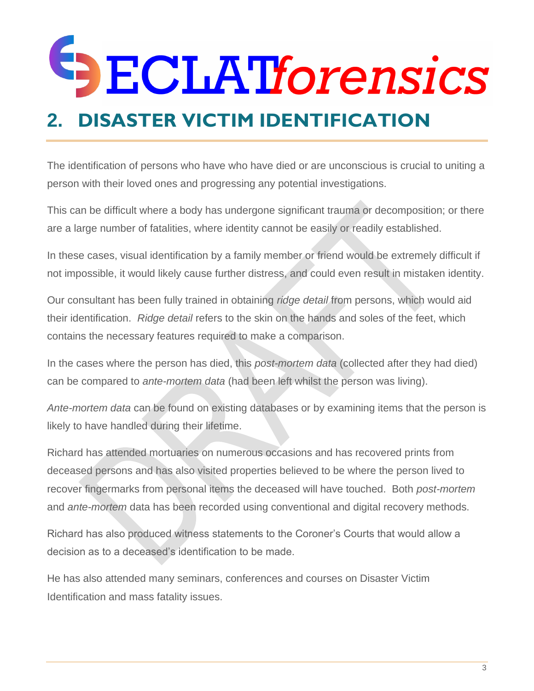# **SECLATIOrensics**

### <span id="page-4-0"></span>**2. DISASTER VICTIM IDENTIFICATION**

The identification of persons who have who have died or are unconscious is crucial to uniting a person with their loved ones and progressing any potential investigations.

This can be difficult where a body has undergone significant trauma or decomposition; or there are a large number of fatalities, where identity cannot be easily or readily established.

In these cases, visual identification by a family member or friend would be extremely difficult if not impossible, it would likely cause further distress, and could even result in mistaken identity.

Our consultant has been fully trained in obtaining *ridge detail* from persons, which would aid their identification. *Ridge detail* refers to the skin on the hands and soles of the feet, which contains the necessary features required to make a comparison.

In the cases where the person has died, this *post-mortem data* (collected after they had died) can be compared to *ante-mortem data* (had been left whilst the person was living).

*Ante-mortem data* can be found on existing databases or by examining items that the person is likely to have handled during their lifetime.

Richard has attended mortuaries on numerous occasions and has recovered prints from deceased persons and has also visited properties believed to be where the person lived to recover fingermarks from personal items the deceased will have touched. Both *post-mortem* and *ante-mortem* data has been recorded using conventional and digital recovery methods.

Richard has also produced witness statements to the Coroner's Courts that would allow a decision as to a deceased's identification to be made.

He has also attended many seminars, conferences and courses on Disaster Victim Identification and mass fatality issues.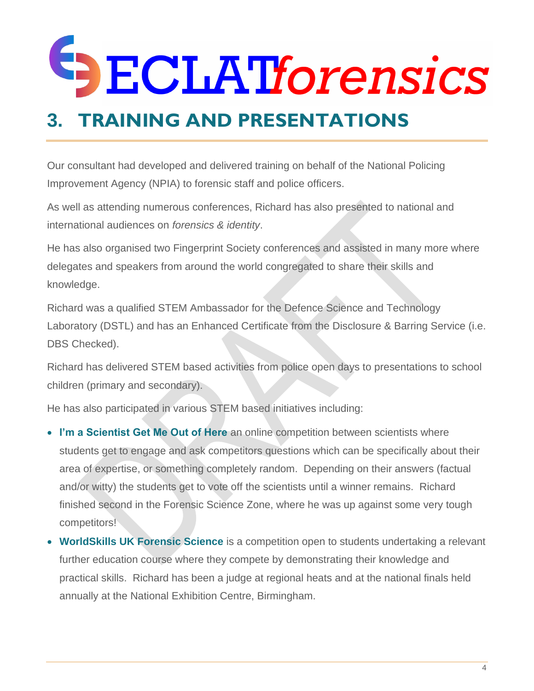#### <span id="page-5-0"></span>**3. TRAINING AND PRESENTATIONS**

Our consultant had developed and delivered training on behalf of the National Policing Improvement Agency (NPIA) to forensic staff and police officers.

As well as attending numerous conferences, Richard has also presented to national and international audiences on *forensics & identity*.

He has also organised two Fingerprint Society conferences and assisted in many more where delegates and speakers from around the world congregated to share their skills and knowledge.

Richard was a qualified STEM Ambassador for the Defence Science and Technology Laboratory (DSTL) and has an Enhanced Certificate from the Disclosure & Barring Service (i.e. DBS Checked).

Richard has delivered STEM based activities from police open days to presentations to school children (primary and secondary).

He has also participated in various STEM based initiatives including:

- **I'm a Scientist Get Me Out of Here** an online competition between scientists where students get to engage and ask competitors questions which can be specifically about their area of expertise, or something completely random. Depending on their answers (factual and/or witty) the students get to vote off the scientists until a winner remains. Richard finished second in the Forensic Science Zone, where he was up against some very tough competitors!
- **WorldSkills UK Forensic Science** is a competition open to students undertaking a relevant further education course where they compete by demonstrating their knowledge and practical skills. Richard has been a judge at regional heats and at the national finals held annually at the National Exhibition Centre, Birmingham.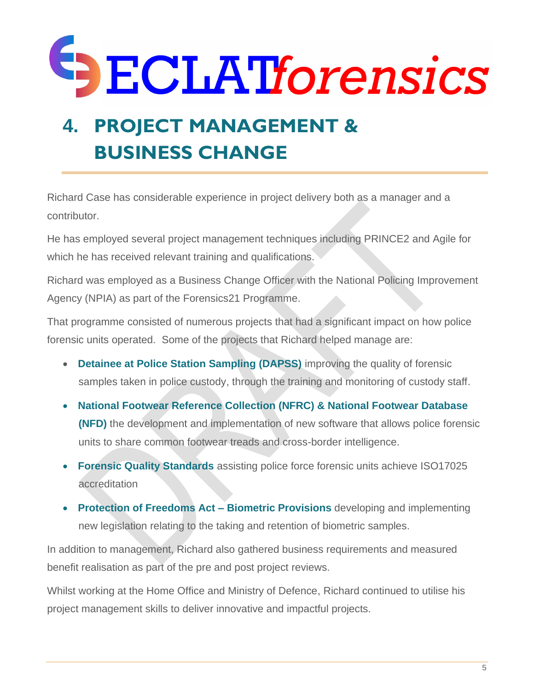### <span id="page-6-0"></span>**4. PROJECT MANAGEMENT & BUSINESS CHANGE**

Richard Case has considerable experience in project delivery both as a manager and a contributor.

He has employed several project management techniques including PRINCE2 and Agile for which he has received relevant training and qualifications.

Richard was employed as a Business Change Officer with the National Policing Improvement Agency (NPIA) as part of the Forensics21 Programme.

That programme consisted of numerous projects that had a significant impact on how police forensic units operated. Some of the projects that Richard helped manage are:

- **Detainee at Police Station Sampling (DAPSS)** improving the quality of forensic samples taken in police custody, through the training and monitoring of custody staff.
- **National Footwear Reference Collection (NFRC) & National Footwear Database (NFD)** the development and implementation of new software that allows police forensic units to share common footwear treads and cross-border intelligence.
- **Forensic Quality Standards** assisting police force forensic units achieve ISO17025 accreditation
- **Protection of Freedoms Act – Biometric Provisions** developing and implementing new legislation relating to the taking and retention of biometric samples.

In addition to management, Richard also gathered business requirements and measured benefit realisation as part of the pre and post project reviews.

Whilst working at the Home Office and Ministry of Defence, Richard continued to utilise his project management skills to deliver innovative and impactful projects.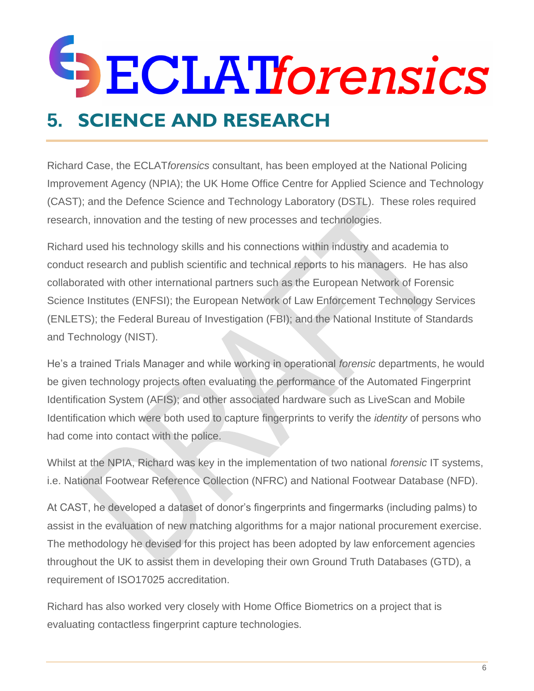### <span id="page-7-0"></span>**5. SCIENCE AND RESEARCH**

Richard Case, the ECLAT*forensics* consultant, has been employed at the National Policing Improvement Agency (NPIA); the UK Home Office Centre for Applied Science and Technology (CAST); and the Defence Science and Technology Laboratory (DSTL). These roles required research, innovation and the testing of new processes and technologies.

Richard used his technology skills and his connections within industry and academia to conduct research and publish scientific and technical reports to his managers. He has also collaborated with other international partners such as the European Network of Forensic Science Institutes (ENFSI); the European Network of Law Enforcement Technology Services (ENLETS); the Federal Bureau of Investigation (FBI); and the National Institute of Standards and Technology (NIST).

He's a trained Trials Manager and while working in operational *forensic* departments, he would be given technology projects often evaluating the performance of the Automated Fingerprint Identification System (AFIS); and other associated hardware such as LiveScan and Mobile Identification which were both used to capture fingerprints to verify the *identity* of persons who had come into contact with the police.

Whilst at the NPIA, Richard was key in the implementation of two national *forensic* IT systems, i.e. National Footwear Reference Collection (NFRC) and National Footwear Database (NFD).

At CAST, he developed a dataset of donor's fingerprints and fingermarks (including palms) to assist in the evaluation of new matching algorithms for a major national procurement exercise. The methodology he devised for this project has been adopted by law enforcement agencies throughout the UK to assist them in developing their own Ground Truth Databases (GTD), a requirement of ISO17025 accreditation.

Richard has also worked very closely with Home Office Biometrics on a project that is evaluating contactless fingerprint capture technologies.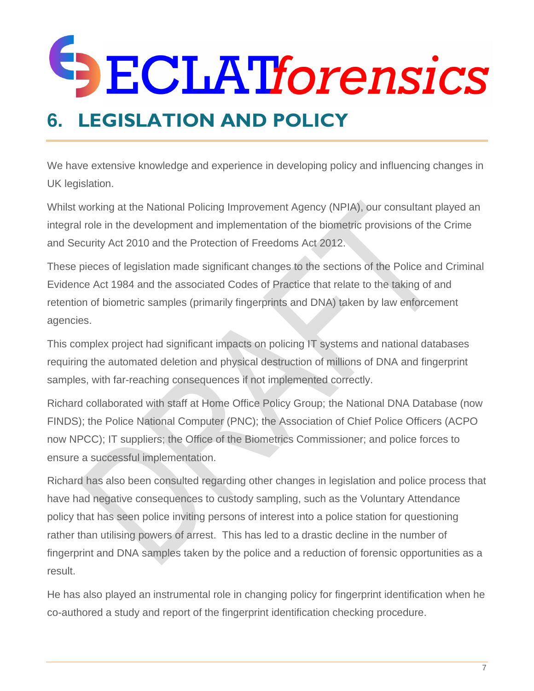### <span id="page-8-0"></span>**6. LEGISLATION AND POLICY**

We have extensive knowledge and experience in developing policy and influencing changes in UK legislation.

Whilst working at the National Policing Improvement Agency (NPIA), our consultant played an integral role in the development and implementation of the biometric provisions of the Crime and Security Act 2010 and the Protection of Freedoms Act 2012.

These pieces of legislation made significant changes to the sections of the Police and Criminal Evidence Act 1984 and the associated Codes of Practice that relate to the taking of and retention of biometric samples (primarily fingerprints and DNA) taken by law enforcement agencies.

This complex project had significant impacts on policing IT systems and national databases requiring the automated deletion and physical destruction of millions of DNA and fingerprint samples, with far-reaching consequences if not implemented correctly.

Richard collaborated with staff at Home Office Policy Group; the National DNA Database (now FINDS); the Police National Computer (PNC); the Association of Chief Police Officers (ACPO now NPCC); IT suppliers; the Office of the Biometrics Commissioner; and police forces to ensure a successful implementation.

Richard has also been consulted regarding other changes in legislation and police process that have had negative consequences to custody sampling, such as the Voluntary Attendance policy that has seen police inviting persons of interest into a police station for questioning rather than utilising powers of arrest. This has led to a drastic decline in the number of fingerprint and DNA samples taken by the police and a reduction of forensic opportunities as a result.

He has also played an instrumental role in changing policy for fingerprint identification when he co-authored a study and report of the fingerprint identification checking procedure.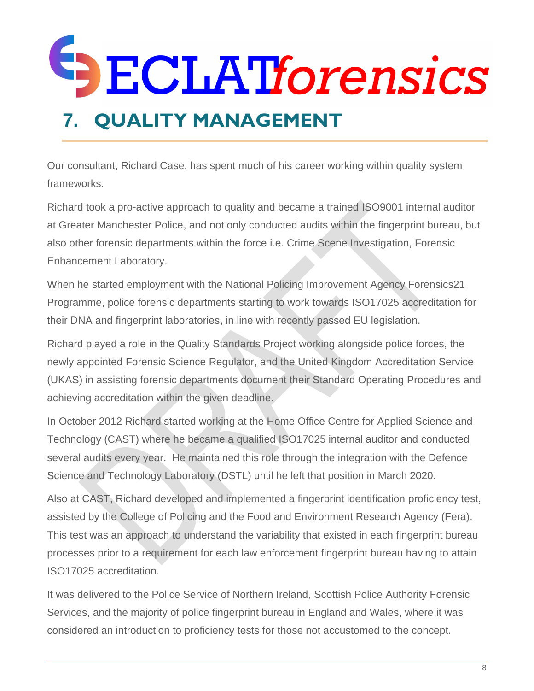### **DECLATforensics 7. QUALITY MANAGEMENT**

<span id="page-9-0"></span>Our consultant, Richard Case, has spent much of his career working within quality system frameworks.

Richard took a pro-active approach to quality and became a trained ISO9001 internal auditor at Greater Manchester Police, and not only conducted audits within the fingerprint bureau, but also other forensic departments within the force i.e. Crime Scene Investigation, Forensic Enhancement Laboratory.

When he started employment with the National Policing Improvement Agency Forensics21 Programme, police forensic departments starting to work towards ISO17025 accreditation for their DNA and fingerprint laboratories, in line with recently passed EU legislation.

Richard played a role in the Quality Standards Project working alongside police forces, the newly appointed Forensic Science Regulator, and the United Kingdom Accreditation Service (UKAS) in assisting forensic departments document their Standard Operating Procedures and achieving accreditation within the given deadline.

In October 2012 Richard started working at the Home Office Centre for Applied Science and Technology (CAST) where he became a qualified ISO17025 internal auditor and conducted several audits every year. He maintained this role through the integration with the Defence Science and Technology Laboratory (DSTL) until he left that position in March 2020.

Also at CAST, Richard developed and implemented a fingerprint identification proficiency test, assisted by the College of Policing and the Food and Environment Research Agency (Fera). This test was an approach to understand the variability that existed in each fingerprint bureau processes prior to a requirement for each law enforcement fingerprint bureau having to attain ISO17025 accreditation.

It was delivered to the Police Service of Northern Ireland, Scottish Police Authority Forensic Services, and the majority of police fingerprint bureau in England and Wales, where it was considered an introduction to proficiency tests for those not accustomed to the concept.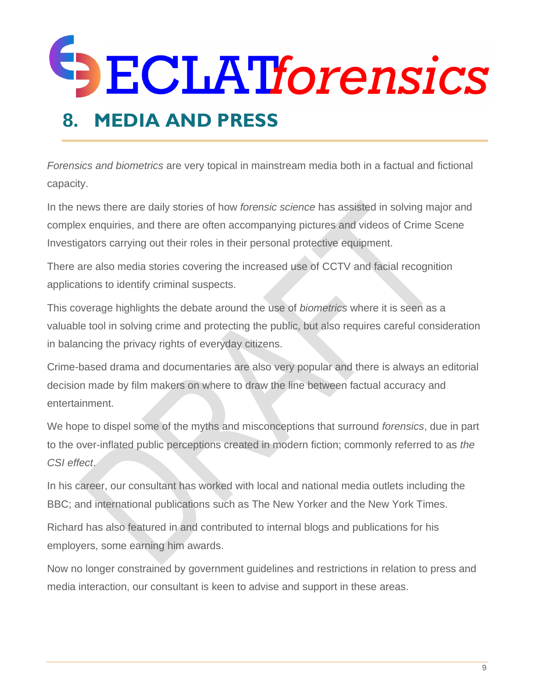#### <span id="page-10-0"></span>**8. MEDIA AND PRESS**

*Forensics and biometrics* are very topical in mainstream media both in a factual and fictional capacity.

In the news there are daily stories of how *forensic science* has assisted in solving major and complex enquiries, and there are often accompanying pictures and videos of Crime Scene Investigators carrying out their roles in their personal protective equipment.

There are also media stories covering the increased use of CCTV and facial recognition applications to identify criminal suspects.

This coverage highlights the debate around the use of *biometrics* where it is seen as a valuable tool in solving crime and protecting the public, but also requires careful consideration in balancing the privacy rights of everyday citizens.

Crime-based drama and documentaries are also very popular and there is always an editorial decision made by film makers on where to draw the line between factual accuracy and entertainment.

We hope to dispel some of the myths and misconceptions that surround *forensics*, due in part to the over-inflated public perceptions created in modern fiction; commonly referred to as *the CSI effect*.

In his career, our consultant has worked with local and national media outlets including the BBC; and international publications such as The New Yorker and the New York Times.

Richard has also featured in and contributed to internal blogs and publications for his employers, some earning him awards.

Now no longer constrained by government guidelines and restrictions in relation to press and media interaction, our consultant is keen to advise and support in these areas.